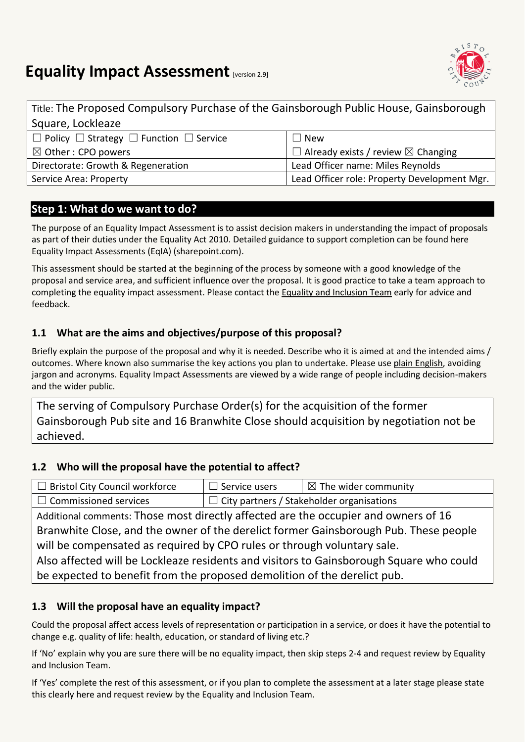# **Equality Impact Assessment [version 2.9]**



Title: The Proposed Compulsory Purchase of the Gainsborough Public House, Gainsborough Square, Lockleaze ☐ Policy ☐ Strategy ☐ Function ☐ Service  $\mathsf{l} \sqcap \mathsf{New}$ 

| $\boxtimes$ Other : CPO powers     | $\Box$ Already exists / review $\boxtimes$ Changing |
|------------------------------------|-----------------------------------------------------|
| Directorate: Growth & Regeneration | Lead Officer name: Miles Reynolds                   |
| Service Area: Property             | Lead Officer role: Property Development Mgr.        |

# **Step 1: What do we want to do?**

The purpose of an Equality Impact Assessment is to assist decision makers in understanding the impact of proposals as part of their duties under the Equality Act 2010. Detailed guidance to support completion can be found here [Equality Impact Assessments \(EqIA\) \(sharepoint.com\).](https://bristolcouncil.sharepoint.com/sites/Corporate/SitePages/equality-impact-assessments.aspx) 

This assessment should be started at the beginning of the process by someone with a good knowledge of the proposal and service area, and sufficient influence over the proposal. It is good practice to take a team approach to completing the equality impact assessment. Please contact the [Equality and Inclusion Team](mailto:equalities.team@bristol.gov.uk) early for advice and feedback.

# **1.1 What are the aims and objectives/purpose of this proposal?**

Briefly explain the purpose of the proposal and why it is needed. Describe who it is aimed at and the intended aims / outcomes. Where known also summarise the key actions you plan to undertake. Please us[e plain English,](http://www.plainenglish.co.uk/) avoiding jargon and acronyms. Equality Impact Assessments are viewed by a wide range of people including decision-makers and the wider public.

The serving of Compulsory Purchase Order(s) for the acquisition of the former Gainsborough Pub site and 16 Branwhite Close should acquisition by negotiation not be achieved.

#### **1.2 Who will the proposal have the potential to affect?**

| Bristol City Council workforce                                                      | $\Box$ Service users                                     | $\boxtimes$ The wider community |
|-------------------------------------------------------------------------------------|----------------------------------------------------------|---------------------------------|
| $\Box$ Commissioned services                                                        | $\perp$ $\Box$ City partners / Stakeholder organisations |                                 |
| Additional comments: Those most directly affected are the occupier and owners of 16 |                                                          |                                 |

Branwhite Close, and the owner of the derelict former Gainsborough Pub. These people will be compensated as required by CPO rules or through voluntary sale.

Also affected will be Lockleaze residents and visitors to Gainsborough Square who could be expected to benefit from the proposed demolition of the derelict pub.

# **1.3 Will the proposal have an equality impact?**

Could the proposal affect access levels of representation or participation in a service, or does it have the potential to change e.g. quality of life: health, education, or standard of living etc.?

If 'No' explain why you are sure there will be no equality impact, then skip steps 2-4 and request review by Equality and Inclusion Team.

If 'Yes' complete the rest of this assessment, or if you plan to complete the assessment at a later stage please state this clearly here and request review by the [Equality and Inclusion Team.](mailto:equalities.team@bristol.gov.uk)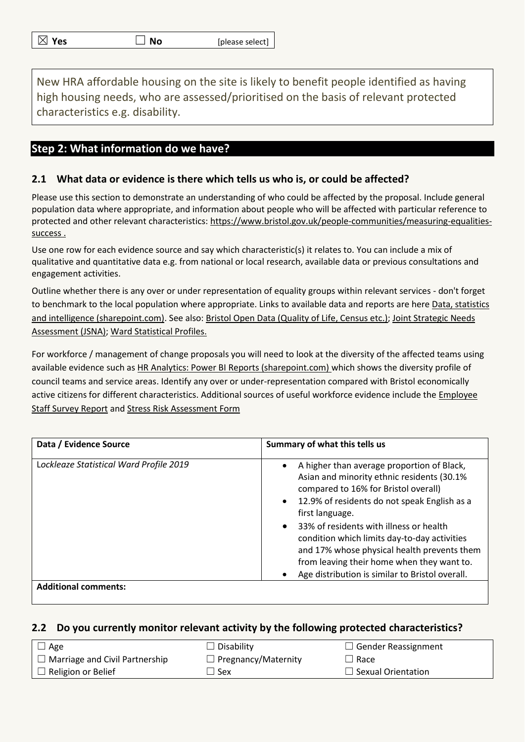| $\boxtimes$ Yes | $\Box$ No | [please select] $\vert$ |
|-----------------|-----------|-------------------------|
|-----------------|-----------|-------------------------|

New HRA affordable housing on the site is likely to benefit people identified as having high housing needs, who are assessed/prioritised on the basis of relevant protected characteristics e.g. disability.

## **Step 2: What information do we have?**

#### **2.1 What data or evidence is there which tells us who is, or could be affected?**

Please use this section to demonstrate an understanding of who could be affected by the proposal. Include general population data where appropriate, and information about people who will be affected with particular reference to protected and other relevant characteristics: [https://www.bristol.gov.uk/people-communities/measuring-equalities](https://www.bristol.gov.uk/people-communities/measuring-equalities-success)[success](https://www.bristol.gov.uk/people-communities/measuring-equalities-success) .

Use one row for each evidence source and say which characteristic(s) it relates to. You can include a mix of qualitative and quantitative data e.g. from national or local research, available data or previous consultations and engagement activities.

Outline whether there is any over or under representation of equality groups within relevant services - don't forget to benchmark to the local population where appropriate. Links to available data and reports are here [Data, statistics](https://bristolcouncil.sharepoint.com/sites/Corporate/SitePages/data-statistics-and-intelligence.aspx)  [and intelligence \(sharepoint.com\).](https://bristolcouncil.sharepoint.com/sites/Corporate/SitePages/data-statistics-and-intelligence.aspx) See also: [Bristol Open Data \(Quality of Life, Census etc.\);](https://bristol.opendatasoft.com/explore/?sort=modified&q=equalities) Joint Strategic Needs [Assessment](https://www.bristol.gov.uk/policies-plans-strategies/joint-strategic-needs-assessment) (JSNA); [Ward Statistical Profiles.](https://www.bristol.gov.uk/statistics-census-information/new-wards-data-profiles)

For workforce / management of change proposals you will need to look at the diversity of the affected teams using available evidence such as [HR Analytics: Power BI Reports \(sharepoint.com\)](https://eur03.safelinks.protection.outlook.com/?url=https%3A%2F%2Fbristolcouncil.sharepoint.com%2Fsites%2FHR%2FSitePages%2Fhr-reports.aspx&data=04%7C01%7C%7C90358974d66d41257ac108d8deebfdde%7C6378a7a50f214482aee0897eb7de331f%7C0%7C0%7C637504452456282778%7CUnknown%7CTWFpbGZsb3d8eyJWIjoiMC4wLjAwMDAiLCJQIjoiV2luMzIiLCJBTiI6Ik1haWwiLCJXVCI6Mn0%3D%7C1000&sdata=6kXYSnoOXQ1Yn%2Be9ZRGlZULZJYwfQ3jygxGLOPN%2BccU%3D&reserved=0) which shows the diversity profile of council teams and service areas. Identify any over or under-representation compared with Bristol economically active citizens for different characteristics. Additional sources of useful workforce evidence include the [Employee](https://bristolcouncil.sharepoint.com/sites/HR/SitePages/hr-reports.aspx)  [Staff Survey Report](https://bristolcouncil.sharepoint.com/sites/HR/SitePages/hr-reports.aspx) and [Stress Risk Assessment Form](https://bristolcouncil.sharepoint.com/:w:/r/sites/HealthSafetyandWellbeing/_layouts/15/Doc.aspx?sourcedoc=%7B813AE494-A25E-4C9C-A7F7-1F6A48883800%7D&file=Stress%20risk%20assessment%20form.doc&action=default&mobileredirect=true&DefaultItemOpen=1)

| Data / Evidence Source                  | Summary of what this tells us                                                                                                                                                                                                                                                                                                                                                                                                                                   |
|-----------------------------------------|-----------------------------------------------------------------------------------------------------------------------------------------------------------------------------------------------------------------------------------------------------------------------------------------------------------------------------------------------------------------------------------------------------------------------------------------------------------------|
| Lockleaze Statistical Ward Profile 2019 | A higher than average proportion of Black,<br>$\bullet$<br>Asian and minority ethnic residents (30.1%<br>compared to 16% for Bristol overall)<br>• 12.9% of residents do not speak English as a<br>first language.<br>• 33% of residents with illness or health<br>condition which limits day-to-day activities<br>and 17% whose physical health prevents them<br>from leaving their home when they want to.<br>Age distribution is similar to Bristol overall. |
| <b>Additional comments:</b>             |                                                                                                                                                                                                                                                                                                                                                                                                                                                                 |

#### **2.2 Do you currently monitor relevant activity by the following protected characteristics?**

| $\Box$ Age                            | $\Box$ Disability          | $\Box$ Gender Reassignment |
|---------------------------------------|----------------------------|----------------------------|
| $\Box$ Marriage and Civil Partnership | $\Box$ Pregnancy/Maternity | $\Box$ Race                |
| $\Box$ Religion or Belief             | ⊿ Sex                      | $\Box$ Sexual Orientation  |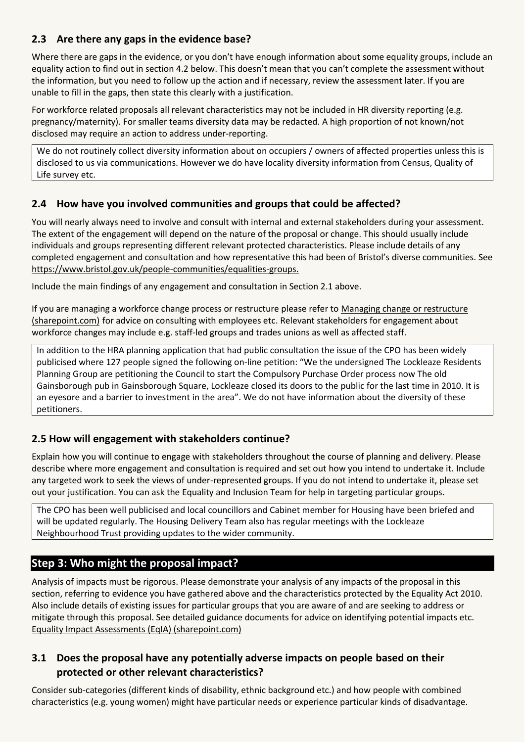#### **2.3 Are there any gaps in the evidence base?**

Where there are gaps in the evidence, or you don't have enough information about some equality groups, include an equality action to find out in section 4.2 below. This doesn't mean that you can't complete the assessment without the information, but you need to follow up the action and if necessary, review the assessment later. If you are unable to fill in the gaps, then state this clearly with a justification.

For workforce related proposals all relevant characteristics may not be included in HR diversity reporting (e.g. pregnancy/maternity). For smaller teams diversity data may be redacted. A high proportion of not known/not disclosed may require an action to address under-reporting.

We do not routinely collect diversity information about on occupiers / owners of affected properties unless this is disclosed to us via communications. However we do have locality diversity information from Census, Quality of Life survey etc.

#### **2.4 How have you involved communities and groups that could be affected?**

You will nearly always need to involve and consult with internal and external stakeholders during your assessment. The extent of the engagement will depend on the nature of the proposal or change. This should usually include individuals and groups representing different relevant protected characteristics. Please include details of any completed engagement and consultation and how representative this had been of Bristol's diverse communities. See [https://www.bristol.gov.uk/people-communities/equalities-groups.](https://www.bristol.gov.uk/people-communities/equalities-groups)

Include the main findings of any engagement and consultation in Section 2.1 above.

If you are managing a workforce change process or restructure please refer to [Managing change or restructure](https://bristolcouncil.sharepoint.com/sites/HR/SitePages/managing-change-or-restructure.aspx)  [\(sharepoint.com\)](https://bristolcouncil.sharepoint.com/sites/HR/SitePages/managing-change-or-restructure.aspx) for advice on consulting with employees etc. Relevant stakeholders for engagement about workforce changes may include e.g. staff-led groups and trades unions as well as affected staff.

In addition to the HRA planning application that had public consultation the issue of the CPO has been widely publicised where 127 people signed the following on-line petition: "We the undersigned The Lockleaze Residents Planning Group are petitioning the Council to start the Compulsory Purchase Order process now The old Gainsborough pub in Gainsborough Square, Lockleaze closed its doors to the public for the last time in 2010. It is an eyesore and a barrier to investment in the area". We do not have information about the diversity of these petitioners.

#### **2.5 How will engagement with stakeholders continue?**

Explain how you will continue to engage with stakeholders throughout the course of planning and delivery. Please describe where more engagement and consultation is required and set out how you intend to undertake it. Include any targeted work to seek the views of under-represented groups. If you do not intend to undertake it, please set out your justification. You can ask the Equality and Inclusion Team for help in targeting particular groups.

The CPO has been well publicised and local councillors and Cabinet member for Housing have been briefed and will be updated regularly. The Housing Delivery Team also has regular meetings with the Lockleaze Neighbourhood Trust providing updates to the wider community.

# **Step 3: Who might the proposal impact?**

Analysis of impacts must be rigorous. Please demonstrate your analysis of any impacts of the proposal in this section, referring to evidence you have gathered above and the characteristics protected by the Equality Act 2010. Also include details of existing issues for particular groups that you are aware of and are seeking to address or mitigate through this proposal. See detailed guidance documents for advice on identifying potential impacts etc. [Equality Impact Assessments \(EqIA\) \(sharepoint.com\)](https://bristolcouncil.sharepoint.com/sites/Corporate/SitePages/equality-impact-assessments.aspx)

### **3.1 Does the proposal have any potentially adverse impacts on people based on their protected or other relevant characteristics?**

Consider sub-categories (different kinds of disability, ethnic background etc.) and how people with combined characteristics (e.g. young women) might have particular needs or experience particular kinds of disadvantage.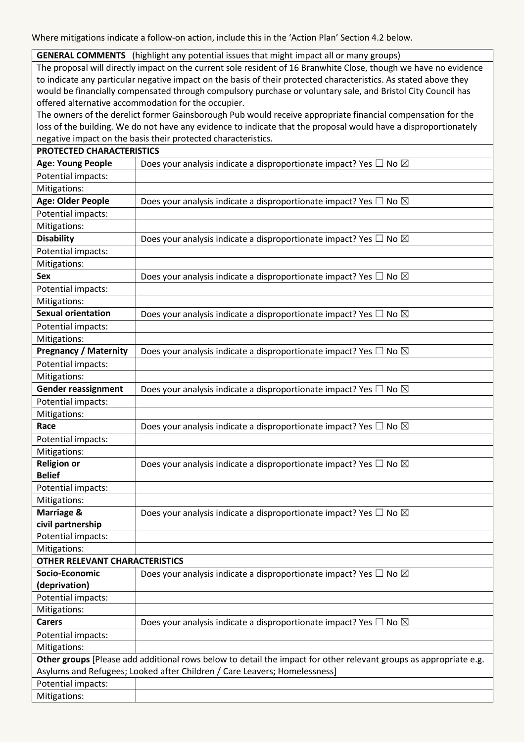Where mitigations indicate a follow-on action, include this in the 'Action Plan' Section 4.2 below.

#### **GENERAL COMMENTS** (highlight any potential issues that might impact all or many groups)

The proposal will directly impact on the current sole resident of 16 Branwhite Close, though we have no evidence to indicate any particular negative impact on the basis of their protected characteristics. As stated above they would be financially compensated through compulsory purchase or voluntary sale, and Bristol City Council has offered alternative accommodation for the occupier.

The owners of the derelict former Gainsborough Pub would receive appropriate financial compensation for the loss of the building. We do not have any evidence to indicate that the proposal would have a disproportionately negative impact on the basis their protected characteristics.

| PROTECTED CHARACTERISTICS             |                                                                                                                   |
|---------------------------------------|-------------------------------------------------------------------------------------------------------------------|
| <b>Age: Young People</b>              | Does your analysis indicate a disproportionate impact? Yes $\Box$ No $\boxtimes$                                  |
| Potential impacts:                    |                                                                                                                   |
| Mitigations:                          |                                                                                                                   |
| Age: Older People                     | Does your analysis indicate a disproportionate impact? Yes $\Box$ No $\boxtimes$                                  |
| Potential impacts:                    |                                                                                                                   |
| Mitigations:                          |                                                                                                                   |
| <b>Disability</b>                     | Does your analysis indicate a disproportionate impact? Yes $\Box$ No $\boxtimes$                                  |
| Potential impacts:                    |                                                                                                                   |
| Mitigations:                          |                                                                                                                   |
| <b>Sex</b>                            | Does your analysis indicate a disproportionate impact? Yes $\Box$ No $\boxtimes$                                  |
| Potential impacts:                    |                                                                                                                   |
| Mitigations:                          |                                                                                                                   |
| <b>Sexual orientation</b>             | Does your analysis indicate a disproportionate impact? Yes $\Box$ No $\boxtimes$                                  |
| Potential impacts:                    |                                                                                                                   |
| Mitigations:                          |                                                                                                                   |
| <b>Pregnancy / Maternity</b>          | Does your analysis indicate a disproportionate impact? Yes $\Box$ No $\boxtimes$                                  |
| Potential impacts:                    |                                                                                                                   |
| Mitigations:                          |                                                                                                                   |
| <b>Gender reassignment</b>            | Does your analysis indicate a disproportionate impact? Yes $\Box$ No $\boxtimes$                                  |
| Potential impacts:                    |                                                                                                                   |
| Mitigations:                          |                                                                                                                   |
| Race                                  | Does your analysis indicate a disproportionate impact? Yes $\Box$ No $\boxtimes$                                  |
| Potential impacts:                    |                                                                                                                   |
| Mitigations:                          |                                                                                                                   |
| <b>Religion or</b>                    | Does your analysis indicate a disproportionate impact? Yes $\Box$ No $\boxtimes$                                  |
| <b>Belief</b>                         |                                                                                                                   |
| Potential impacts:                    |                                                                                                                   |
| Mitigations:                          |                                                                                                                   |
| Marriage &                            | Does your analysis indicate a disproportionate impact? Yes $\Box$ No $\boxtimes$                                  |
| civil partnership                     |                                                                                                                   |
| Potential impacts:                    |                                                                                                                   |
| Mitigations:                          |                                                                                                                   |
| <b>OTHER RELEVANT CHARACTERISTICS</b> |                                                                                                                   |
| Socio-Economic                        | Does your analysis indicate a disproportionate impact? Yes $\Box$ No $\boxtimes$                                  |
| (deprivation)                         |                                                                                                                   |
| Potential impacts:                    |                                                                                                                   |
| Mitigations:                          |                                                                                                                   |
| <b>Carers</b>                         | Does your analysis indicate a disproportionate impact? Yes $\Box$ No $\boxtimes$                                  |
| Potential impacts:                    |                                                                                                                   |
| Mitigations:                          |                                                                                                                   |
|                                       | Other groups [Please add additional rows below to detail the impact for other relevant groups as appropriate e.g. |
|                                       | Asylums and Refugees; Looked after Children / Care Leavers; Homelessness]                                         |
| Potential impacts:                    |                                                                                                                   |
| Mitigations:                          |                                                                                                                   |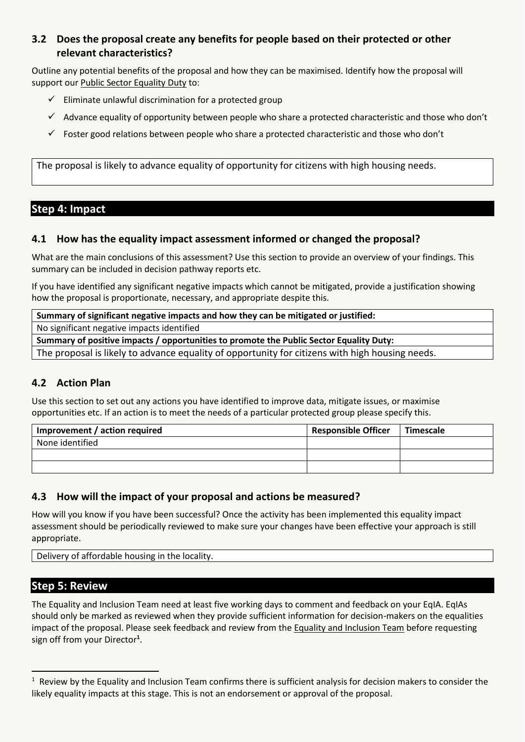#### **3.2 Does the proposal create any benefits for people based on their protected or other relevant characteristics?**

Outline any potential benefits of the proposal and how they can be maximised. Identify how the proposal will support our [Public Sector Equality Duty](https://www.equalityhumanrights.com/en/advice-and-guidance/public-sector-equality-duty) to:

- $\checkmark$  Eliminate unlawful discrimination for a protected group
- $\checkmark$  Advance equality of opportunity between people who share a protected characteristic and those who don't
- $\checkmark$  Foster good relations between people who share a protected characteristic and those who don't

The proposal is likely to advance equality of opportunity for citizens with high housing needs.

### **Step 4: Impact**

#### **4.1 How has the equality impact assessment informed or changed the proposal?**

What are the main conclusions of this assessment? Use this section to provide an overview of your findings. This summary can be included in decision pathway reports etc.

If you have identified any significant negative impacts which cannot be mitigated, provide a justification showing how the proposal is proportionate, necessary, and appropriate despite this.

**Summary of significant negative impacts and how they can be mitigated or justified:**

No significant negative impacts identified

**Summary of positive impacts / opportunities to promote the Public Sector Equality Duty:**

The proposal is likely to advance equality of opportunity for citizens with high housing needs.

#### **4.2 Action Plan**

Use this section to set out any actions you have identified to improve data, mitigate issues, or maximise opportunities etc. If an action is to meet the needs of a particular protected group please specify this.

| Improvement / action required | Responsible Officer | Timescale |
|-------------------------------|---------------------|-----------|
| None identified               |                     |           |
|                               |                     |           |
|                               |                     |           |

#### **4.3 How will the impact of your proposal and actions be measured?**

How will you know if you have been successful? Once the activity has been implemented this equality impact assessment should be periodically reviewed to make sure your changes have been effective your approach is still appropriate.

Delivery of affordable housing in the locality.

#### **Step 5: Review**

 $\overline{a}$ 

The Equality and Inclusion Team need at least five working days to comment and feedback on your EqIA. EqIAs should only be marked as reviewed when they provide sufficient information for decision-makers on the equalities impact of the proposal. Please seek feedback and review from th[e Equality and Inclusion Team](mailto:equalities.team@bristol.gov.uk) before requesting sign off from your Director**<sup>1</sup>** .

 $1$  Review by the Equality and Inclusion Team confirms there is sufficient analysis for decision makers to consider the likely equality impacts at this stage. This is not an endorsement or approval of the proposal.